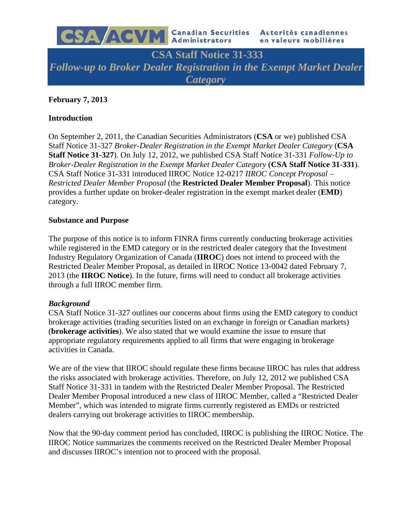

**CSA Staff Notice 31-333** Follow-up to Broker Dealer Registration in the Exempt Market Dealer *Category* 

# **February 7, 2013**

### **Introduction**

On September 2, 2011, the Canadian Securities Administrators (CSA or we) published CSA Staff Notice 31-327 Broker-Dealer Registration in the Exempt Market Dealer Category (CSA Staff Notice 31-327). On July 12, 2012, we published CSA Staff Notice 31-331 Follow-Up to Broker-Dealer Registration in the Exempt Market Dealer Category (CSA Staff Notice 31-331). CSA Staff Notice 31-331 introduced IIROC Notice 12-0217 IIROC Concept Proposal -Restricted Dealer Member Proposal (the Restricted Dealer Member Proposal). This notice provides a further update on broker-dealer registration in the exempt market dealer (**EMD**) category.

### **Substance and Purpose**

The purpose of this notice is to inform FINRA firms currently conducting brokerage activities while registered in the EMD category or in the restricted dealer category that the Investment Industry Regulatory Organization of Canada (IIROC) does not intend to proceed with the Restricted Dealer Member Proposal, as detailed in IIROC Notice 13-0042 dated February 7, 2013 (the **IIROC Notice**). In the future, firms will need to conduct all brokerage activities through a full IIROC member firm.

#### **Background**

CSA Staff Notice 31-327 outlines our concerns about firms using the EMD category to conduct brokerage activities (trading securities listed on an exchange in foreign or Canadian markets) (**brokerage activities**). We also stated that we would examine the issue to ensure that appropriate regulatory requirements applied to all firms that were engaging in brokerage activities in Canada.

We are of the view that IIROC should regulate these firms because IIROC has rules that address the risks associated with brokerage activities. Therefore, on July 12, 2012 we published CSA Staff Notice 31-331 in tandem with the Restricted Dealer Member Proposal. The Restricted Dealer Member Proposal introduced a new class of IIROC Member, called a "Restricted Dealer" Member", which was intended to migrate firms currently registered as EMDs or restricted dealers carrying out brokerage activities to IIROC membership.

Now that the 90-day comment period has concluded, IIROC is publishing the IIROC Notice. The IIROC Notice summarizes the comments received on the Restricted Dealer Member Proposal and discusses IIROC's intention not to proceed with the proposal.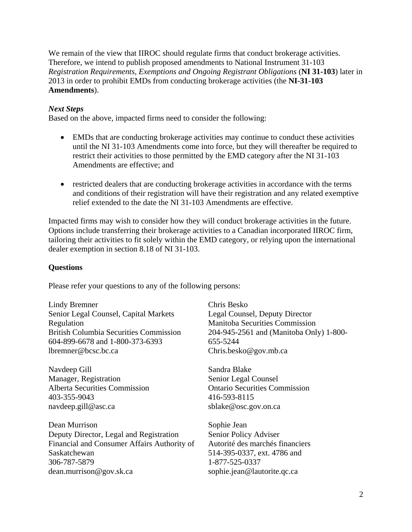We remain of the view that IIROC should regulate firms that conduct brokerage activities. Therefore, we intend to publish proposed amendments to National Instrument 31-103 *Registration Requirements, Exemptions and Ongoing Registrant Obligations* (**NI 31-103**) later in 2013 in order to prohibit EMDs from conducting brokerage activities (the **NI-31-103 Amendments**).

# *Next Steps*

Based on the above, impacted firms need to consider the following:

- EMDs that are conducting brokerage activities may continue to conduct these activities until the NI 31-103 Amendments come into force, but they will thereafter be required to restrict their activities to those permitted by the EMD category after the NI 31-103 Amendments are effective; and
- restricted dealers that are conducting brokerage activities in accordance with the terms and conditions of their registration will have their registration and any related exemptive relief extended to the date the NI 31-103 Amendments are effective.

Impacted firms may wish to consider how they will conduct brokerage activities in the future. Options include transferring their brokerage activities to a Canadian incorporated IIROC firm, tailoring their activities to fit solely within the EMD category, or relying upon the international dealer exemption in section 8.18 of NI 31-103.

### **Questions**

Please refer your questions to any of the following persons:

Lindy Bremner Senior Legal Counsel, Capital Markets Regulation British Columbia Securities Commission 604-899-6678 and 1-800-373-6393 lbremner@bcsc.bc.ca

Navdeep Gill Manager, Registration Alberta Securities Commission 403-355-9043 navdeep.gill@asc.ca

Dean Murrison Deputy Director, Legal and Registration Financial and Consumer Affairs Authority of Saskatchewan 306-787-5879 dean.murrison@gov.sk.ca

Chris Besko Legal Counsel, Deputy Director Manitoba Securities Commission 204-945-2561 and (Manitoba Only) 1-800- 655-5244 Chris.besko@gov.mb.ca

Sandra Blake Senior Legal Counsel Ontario Securities Commission 416-593-8115 sblake@osc.gov.on.ca

Sophie Jean Senior Policy Adviser Autorité des marchés financiers 514-395-0337, ext. 4786 and 1-877-525-0337 sophie.jean@lautorite.qc.ca